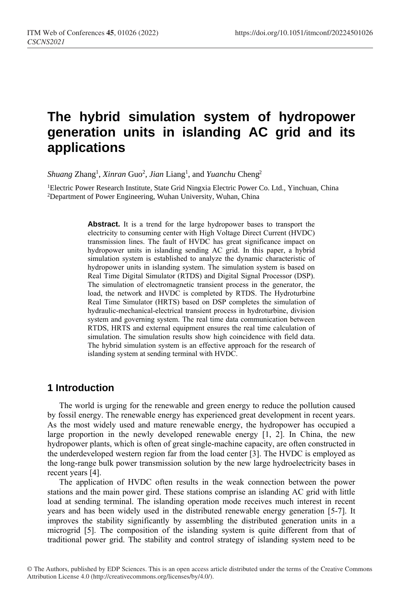# **The hybrid simulation system of hydropower generation units in islanding AC grid and its applications**

Shuang Zhang<sup>1</sup>, *Xinran* Guo<sup>2</sup>, *Jian* Liang<sup>1</sup>, and *Yuanchu* Cheng<sup>2</sup>

<sup>1</sup>Electric Power Research Institute, State Grid Ningxia Electric Power Co. Ltd., Yinchuan, China <sup>2</sup>Department of Power Engineering, Wuhan University, Wuhan, China

> **Abstract.** It is a trend for the large hydropower bases to transport the electricity to consuming center with High Voltage Direct Current (HVDC) transmission lines. The fault of HVDC has great significance impact on hydropower units in islanding sending AC grid. In this paper, a hybrid simulation system is established to analyze the dynamic characteristic of hydropower units in islanding system. The simulation system is based on Real Time Digital Simulator (RTDS) and Digital Signal Processor (DSP). The simulation of electromagnetic transient process in the generator, the load, the network and HVDC is completed by RTDS. The Hydroturbine Real Time Simulator (HRTS) based on DSP completes the simulation of hydraulic-mechanical-electrical transient process in hydroturbine, division system and governing system. The real time data communication between RTDS, HRTS and external equipment ensures the real time calculation of simulation. The simulation results show high coincidence with field data. The hybrid simulation system is an effective approach for the research of islanding system at sending terminal with HVDC.

## **1 Introduction**

The world is urging for the renewable and green energy to reduce the pollution caused by fossil energy. The renewable energy has experienced great development in recent years. As the most widely used and mature renewable energy, the hydropower has occupied a large proportion in the newly developed renewable energy [1, 2]. In China, the new hydropower plants, which is often of great single-machine capacity, are often constructed in the underdeveloped western region far from the load center [3]. The HVDC is employed as the long-range bulk power transmission solution by the new large hydroelectricity bases in recent years [4].

The application of HVDC often results in the weak connection between the power stations and the main power gird. These stations comprise an islanding AC grid with little load at sending terminal. The islanding operation mode receives much interest in recent years and has been widely used in the distributed renewable energy generation [5-7]. It improves the stability significantly by assembling the distributed generation units in a microgrid [5]. The composition of the islanding system is quite different from that of traditional power grid. The stability and control strategy of islanding system need to be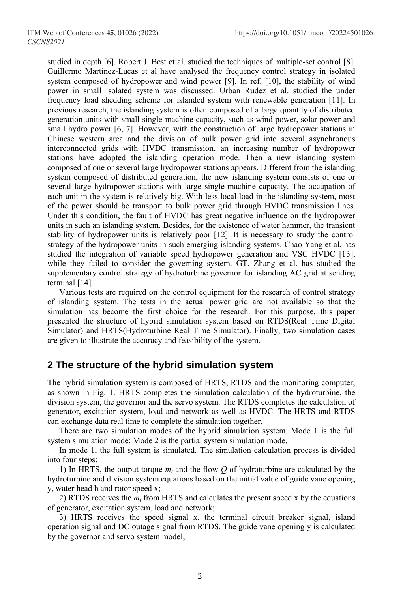studied in depth [6]. Robert J. Best et al. studied the techniques of multiple-set control [8]. Guillermo Martínez-Lucas et al have analysed the frequency control strategy in isolated system composed of hydropower and wind power [9]. In ref. [10], the stability of wind power in small isolated system was discussed. Urban Rudez et al. studied the under frequency load shedding scheme for islanded system with renewable generation [11]. In previous research, the islanding system is often composed of a large quantity of distributed generation units with small single-machine capacity, such as wind power, solar power and small hydro power [6, 7]. However, with the construction of large hydropower stations in Chinese western area and the division of bulk power grid into several asynchronous interconnected grids with HVDC transmission, an increasing number of hydropower stations have adopted the islanding operation mode. Then a new islanding system composed of one or several large hydropower stations appears. Different from the islanding system composed of distributed generation, the new islanding system consists of one or several large hydropower stations with large single-machine capacity. The occupation of each unit in the system is relatively big. With less local load in the islanding system, most of the power should be transport to bulk power grid through HVDC transmission lines. Under this condition, the fault of HVDC has great negative influence on the hydropower units in such an islanding system. Besides, for the existence of water hammer, the transient stability of hydropower units is relatively poor [12]. It is necessary to study the control strategy of the hydropower units in such emerging islanding systems. Chao Yang et al. has studied the integration of variable speed hydropower generation and VSC HVDC [13], while they failed to consider the governing system. GT. Zhang et al. has studied the supplementary control strategy of hydroturbine governor for islanding AC grid at sending terminal [14].

Various tests are required on the control equipment for the research of control strategy of islanding system. The tests in the actual power grid are not available so that the simulation has become the first choice for the research. For this purpose, this paper presented the structure of hybrid simulation system based on RTDS(Real Time Digital Simulator) and HRTS(Hydroturbine Real Time Simulator). Finally, two simulation cases are given to illustrate the accuracy and feasibility of the system.

## **2 The structure of the hybrid simulation system**

The hybrid simulation system is composed of HRTS, RTDS and the monitoring computer, as shown in Fig. 1. HRTS completes the simulation calculation of the hydroturbine, the division system, the governor and the servo system. The RTDS completes the calculation of generator, excitation system, load and network as well as HVDC. The HRTS and RTDS can exchange data real time to complete the simulation together.

There are two simulation modes of the hybrid simulation system. Mode 1 is the full system simulation mode; Mode 2 is the partial system simulation mode.

In mode 1, the full system is simulated. The simulation calculation process is divided into four steps:

1) In HRTS, the output torque  $m_t$  and the flow  $Q$  of hydroturbine are calculated by the hydroturbine and division system equations based on the initial value of guide vane opening y, water head h and rotor speed x;

2) RTDS receives the *m<sup>t</sup>* from HRTS and calculates the present speed x by the equations of generator, excitation system, load and network;

3) HRTS receives the speed signal x, the terminal circuit breaker signal, island operation signal and DC outage signal from RTDS. The guide vane opening y is calculated by the governor and servo system model;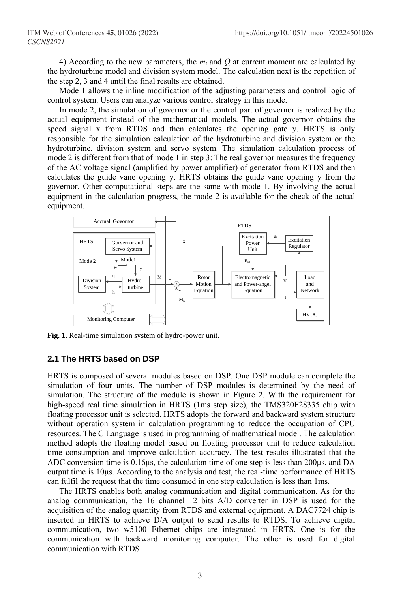4) According to the new parameters, the  $m<sub>t</sub>$  and O at current moment are calculated by the hydroturbine model and division system model. The calculation next is the repetition of the step 2, 3 and 4 until the final results are obtained.

Mode 1 allows the inline modification of the adjusting parameters and control logic of control system. Users can analyze various control strategy in this mode.

In mode 2, the simulation of governor or the control part of governor is realized by the actual equipment instead of the mathematical models. The actual governor obtains the speed signal x from RTDS and then calculates the opening gate y. HRTS is only responsible for the simulation calculation of the hydroturbine and division system or the hydroturbine, division system and servo system. The simulation calculation process of mode 2 is different from that of mode 1 in step 3: The real governor measures the frequency of the AC voltage signal (amplified by power amplifier) of generator from RTDS and then calculates the guide vane opening y. HRTS obtains the guide vane opening y from the governor. Other computational steps are the same with mode 1. By involving the actual equipment in the calculation progress, the mode 2 is available for the check of the actual equipment.



**Fig. 1.** Real-time simulation system of hydro-power unit.

#### **2.1 The HRTS based on DSP**

HRTS is composed of several modules based on DSP. One DSP module can complete the simulation of four units. The number of DSP modules is determined by the need of simulation. The structure of the module is shown in Figure 2. With the requirement for high-speed real time simulation in HRTS (1ms step size), the TMS320F28335 chip with floating processor unit is selected. HRTS adopts the forward and backward system structure without operation system in calculation programming to reduce the occupation of CPU resources. The C Language is used in programming of mathematical model. The calculation method adopts the floating model based on floating processor unit to reduce calculation time consumption and improve calculation accuracy. The test results illustrated that the ADC conversion time is 0.16μs, the calculation time of one step is less than 200μs, and DA output time is 10μs. According to the analysis and test, the real-time performance of HRTS can fulfil the request that the time consumed in one step calculation is less than 1ms.

The HRTS enables both analog communication and digital communication. As for the analog communication, the 16 channel 12 bits A/D converter in DSP is used for the acquisition of the analog quantity from RTDS and external equipment. A DAC7724 chip is inserted in HRTS to achieve D/A output to send results to RTDS. To achieve digital communication, two w5100 Ethernet chips are integrated in HRTS. One is for the communication with backward monitoring computer. The other is used for digital communication with RTDS.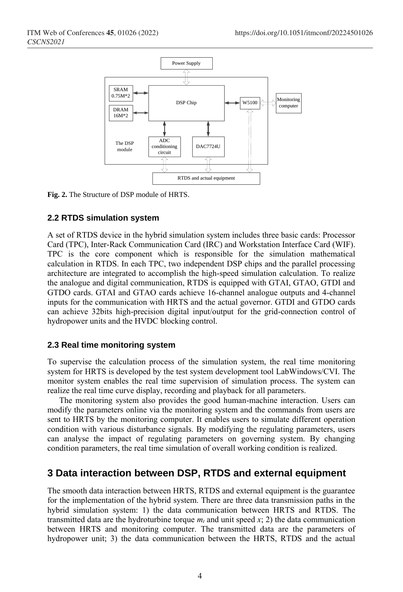

**Fig. 2.** The Structure of DSP module of HRTS.

#### **2.2 RTDS simulation system**

A set of RTDS device in the hybrid simulation system includes three basic cards: Processor Card (TPC), Inter-Rack Communication Card (IRC) and Workstation Interface Card (WIF). TPC is the core component which is responsible for the simulation mathematical calculation in RTDS. In each TPC, two independent DSP chips and the parallel processing architecture are integrated to accomplish the high-speed simulation calculation. To realize the analogue and digital communication, RTDS is equipped with GTAI, GTAO, GTDI and GTDO cards. GTAI and GTAO cards achieve 16-channel analogue outputs and 4-channel inputs for the communication with HRTS and the actual governor. GTDI and GTDO cards can achieve 32bits high-precision digital input/output for the grid-connection control of hydropower units and the HVDC blocking control.

#### **2.3 Real time monitoring system**

To supervise the calculation process of the simulation system, the real time monitoring system for HRTS is developed by the test system development tool LabWindows/CVI. The monitor system enables the real time supervision of simulation process. The system can realize the real time curve display, recording and playback for all parameters.

The monitoring system also provides the good human-machine interaction. Users can modify the parameters online via the monitoring system and the commands from users are sent to HRTS by the monitoring computer. It enables users to simulate different operation condition with various disturbance signals. By modifying the regulating parameters, users can analyse the impact of regulating parameters on governing system. By changing condition parameters, the real time simulation of overall working condition is realized.

# **3 Data interaction between DSP, RTDS and external equipment**

The smooth data interaction between HRTS, RTDS and external equipment is the guarantee for the implementation of the hybrid system. There are three data transmission paths in the hybrid simulation system: 1) the data communication between HRTS and RTDS. The transmitted data are the hydroturbine torque  $m_t$  and unit speed  $x$ ; 2) the data communication between HRTS and monitoring computer. The transmitted data are the parameters of hydropower unit; 3) the data communication between the HRTS, RTDS and the actual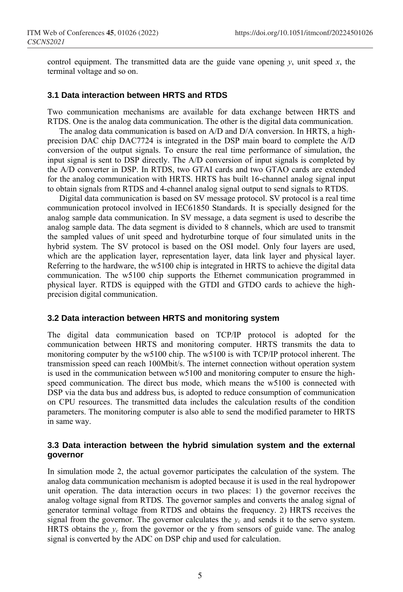control equipment. The transmitted data are the guide vane opening  $y$ , unit speed  $x$ , the terminal voltage and so on.

#### **3.1 Data interaction between HRTS and RTDS**

Two communication mechanisms are available for data exchange between HRTS and RTDS. One is the analog data communication. The other is the digital data communication.

The analog data communication is based on A/D and D/A conversion. In HRTS, a highprecision DAC chip DAC7724 is integrated in the DSP main board to complete the A/D conversion of the output signals. To ensure the real time performance of simulation, the input signal is sent to DSP directly. The A/D conversion of input signals is completed by the A/D converter in DSP. In RTDS, two GTAI cards and two GTAO cards are extended for the analog communication with HRTS. HRTS has built 16-channel analog signal input to obtain signals from RTDS and 4-channel analog signal output to send signals to RTDS.

Digital data communication is based on SV message protocol. SV protocol is a real time communication protocol involved in IEC61850 Standards. It is specially designed for the analog sample data communication. In SV message, a data segment is used to describe the analog sample data. The data segment is divided to 8 channels, which are used to transmit the sampled values of unit speed and hydroturbine torque of four simulated units in the hybrid system. The SV protocol is based on the OSI model. Only four layers are used, which are the application layer, representation layer, data link layer and physical layer. Referring to the hardware, the w5100 chip is integrated in HRTS to achieve the digital data communication. The w5100 chip supports the Ethernet communication programmed in physical layer. RTDS is equipped with the GTDI and GTDO cards to achieve the highprecision digital communication.

#### **3.2 Data interaction between HRTS and monitoring system**

The digital data communication based on TCP/IP protocol is adopted for the communication between HRTS and monitoring computer. HRTS transmits the data to monitoring computer by the w5100 chip. The w5100 is with TCP/IP protocol inherent. The transmission speed can reach 100Mbit/s. The internet connection without operation system is used in the communication between w5100 and monitoring computer to ensure the highspeed communication. The direct bus mode, which means the w5100 is connected with DSP via the data bus and address bus, is adopted to reduce consumption of communication on CPU resources. The transmitted data includes the calculation results of the condition parameters. The monitoring computer is also able to send the modified parameter to HRTS in same way.

#### **3.3 Data interaction between the hybrid simulation system and the external governor**

In simulation mode 2, the actual governor participates the calculation of the system. The analog data communication mechanism is adopted because it is used in the real hydropower unit operation. The data interaction occurs in two places: 1) the governor receives the analog voltage signal from RTDS. The governor samples and converts the analog signal of generator terminal voltage from RTDS and obtains the frequency. 2) HRTS receives the signal from the governor. The governor calculates the  $y_c$  and sends it to the servo system. HRTS obtains the  $y_c$  from the governor or the y from sensors of guide vane. The analog signal is converted by the ADC on DSP chip and used for calculation.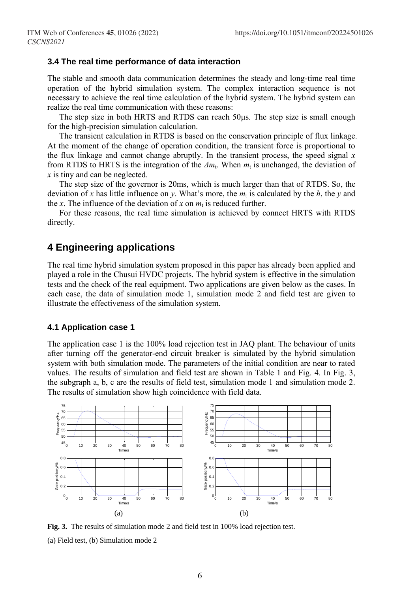#### **3.4 The real time performance of data interaction**

The stable and smooth data communication determines the steady and long-time real time operation of the hybrid simulation system. The complex interaction sequence is not necessary to achieve the real time calculation of the hybrid system. The hybrid system can realize the real time communication with these reasons:

The step size in both HRTS and RTDS can reach 50μs. The step size is small enough for the high-precision simulation calculation.

The transient calculation in RTDS is based on the conservation principle of flux linkage. At the moment of the change of operation condition, the transient force is proportional to the flux linkage and cannot change abruptly. In the transient process, the speed signal *x* from RTDS to HRTS is the integration of the  $\Delta m_t$ . When  $m_t$  is unchanged, the deviation of *x* is tiny and can be neglected.

The step size of the governor is 20ms, which is much larger than that of RTDS. So, the deviation of *x* has little influence on *y*. What's more, the  $m_t$  is calculated by the  $h$ , the *y* and the *x*. The influence of the deviation of *x* on  $m_t$  is reduced further.

For these reasons, the real time simulation is achieved by connect HRTS with RTDS directly.

# **4 Engineering applications**

The real time hybrid simulation system proposed in this paper has already been applied and played a role in the Chusui HVDC projects. The hybrid system is effective in the simulation tests and the check of the real equipment. Two applications are given below as the cases. In each case, the data of simulation mode 1, simulation mode 2 and field test are given to illustrate the effectiveness of the simulation system.

#### **4.1 Application case 1**

The application case 1 is the 100% load rejection test in JAQ plant. The behaviour of units after turning off the generator-end circuit breaker is simulated by the hybrid simulation system with both simulation mode. The parameters of the initial condition are near to rated values. The results of simulation and field test are shown in Table 1 and Fig. 4. In Fig. 3, the subgraph a, b, c are the results of field test, simulation mode 1 and simulation mode 2. The results of simulation show high coincidence with field data.



**Fig. 3.** The results of simulation mode 2 and field test in 100% load rejection test. (a) Field test, (b) Simulation mode 2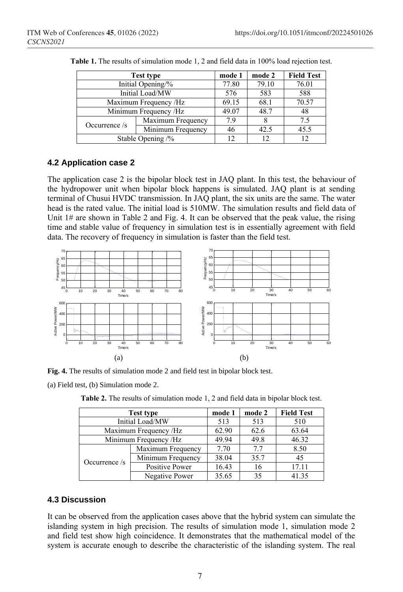| <b>Test type</b>      |                   | mode 1 | mode 2 | <b>Field Test</b> |
|-----------------------|-------------------|--------|--------|-------------------|
| Initial Opening/%     |                   | 77.80  | 79.10  | 76.01             |
| Initial Load/MW       |                   | 576    | 583    | 588               |
| Maximum Frequency /Hz |                   | 69.15  | 68.1   | 70.57             |
| Minimum Frequency /Hz |                   | 49.07  | 48.7   | 48                |
| Occurrence $/s$       | Maximum Frequency | 7.9    |        | 7.5               |
|                       | Minimum Frequency | 46     | 42.5   | 45.5              |
| Stable Opening /%     |                   | 12     | 12     | 12.               |

**Table 1.** The results of simulation mode 1, 2 and field data in 100% load rejection test.

## **4.2 Application case 2**

The application case 2 is the bipolar block test in JAQ plant. In this test, the behaviour of the hydropower unit when bipolar block happens is simulated. JAQ plant is at sending terminal of Chusui HVDC transmission. In JAQ plant, the six units are the same. The water head is the rated value. The initial load is 510MW. The simulation results and field data of Unit  $1#$  are shown in Table 2 and Fig. 4. It can be observed that the peak value, the rising time and stable value of frequency in simulation test is in essentially agreement with field data. The recovery of frequency in simulation is faster than the field test.



**Fig. 4.** The results of simulation mode 2 and field test in bipolar block test.

(a) Field test, (b) Simulation mode 2.

**Table 2.** The results of simulation mode 1, 2 and field data in bipolar block test.

| Test type             |                   | mode 1 | mode 2 | <b>Field Test</b> |
|-----------------------|-------------------|--------|--------|-------------------|
| Initial Load/MW       |                   | 513    | 513    | 510               |
| Maximum Frequency /Hz |                   | 62.90  | 62.6   | 63.64             |
| Minimum Frequency /Hz |                   | 49.94  | 49.8   | 46.32             |
| Occurrence $\sqrt{s}$ | Maximum Frequency | 7.70   | 77     | 8.50              |
|                       | Minimum Frequency | 38.04  | 35.7   | 45                |
|                       | Positive Power    | 16.43  | 16     | 17.11             |
|                       | Negative Power    | 35.65  | 35     | 41.35             |

## **4.3 Discussion**

It can be observed from the application cases above that the hybrid system can simulate the islanding system in high precision. The results of simulation mode 1, simulation mode 2 and field test show high coincidence. It demonstrates that the mathematical model of the system is accurate enough to describe the characteristic of the islanding system. The real